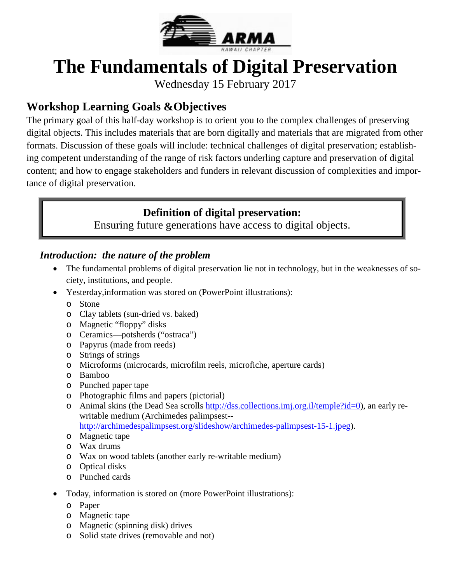

# **The Fundamentals of Digital Preservation**

Wednesday 15 February 2017

# **Workshop Learning Goals &Objectives**

The primary goal of this half-day workshop is to orient you to the complex challenges of preserving digital objects. This includes materials that are born digitally and materials that are migrated from other formats. Discussion of these goals will include: technical challenges of digital preservation; establishing competent understanding of the range of risk factors underling capture and preservation of digital content; and how to engage stakeholders and funders in relevant discussion of complexities and importance of digital preservation.

### **Definition of digital preservation:**

Ensuring future generations have access to digital objects.

### *Introduction: the nature of the problem*

- The fundamental problems of digital preservation lie not in technology, but in the weaknesses of society, institutions, and people.
- Yesterday, information was stored on (PowerPoint illustrations):
	- o Stone
	- o Clay tablets (sun-dried vs. baked)
	- o Magnetic "floppy" disks
	- o Ceramics—potsherds ("ostraca")
	- o Papyrus (made from reeds)
	- o Strings of strings
	- o Microforms (microcards, microfilm reels, microfiche, aperture cards)
	- o Bamboo
	- o Punched paper tape
	- o Photographic films and papers (pictorial)
	- o Animal skins (the Dead Sea scrolls [http://dss.collections.imj.org.il/temple?id=0\)](http://dss.collections.imj.org.il/temple?id=0), an early rewritable medium (Archimedes palimpsest--

[http://archimedespalimpsest.org/slideshow/archimedes-palimpsest-15-1.jpeg\)](http://archimedespalimpsest.org/slideshow/archimedes-palimpsest-15-1.jpeg).

- o Magnetic tape
- o Wax drums
- o Wax on wood tablets (another early re-writable medium)
- o Optical disks
- o Punched cards
- Today, information is stored on (more PowerPoint illustrations):
	- o Paper
	- o Magnetic tape
	- o Magnetic (spinning disk) drives
	- o Solid state drives (removable and not)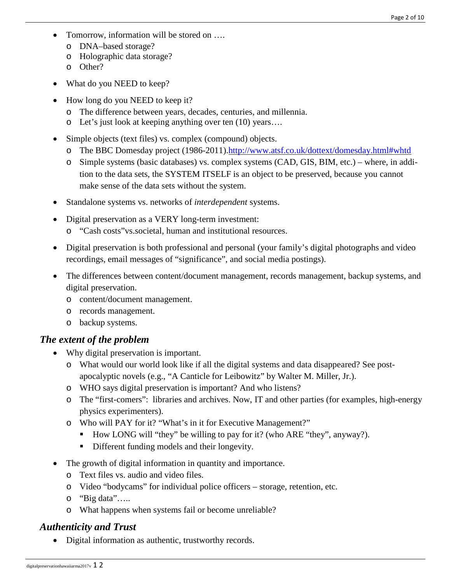- Tomorrow, information will be stored on ....
	- o DNA–based storage?
	- o Holographic data storage?
	- o Other?
- What do you NEED to keep?
- How long do you NEED to keep it?
	- o The difference between years, decades, centuries, and millennia.
	- o Let's just look at keeping anything over ten (10) years….
- Simple objects (text files) vs. complex (compound) objects.
	- o The BBC Domesday project (1986-2011)[.http://www.atsf.co.uk/dottext/domesday.html#whtd](http://www.atsf.co.uk/dottext/domesday.html#whtd)
	- o Simple systems (basic databases) vs. complex systems (CAD, GIS, BIM, etc.) where, in addition to the data sets, the SYSTEM ITSELF is an object to be preserved, because you cannot make sense of the data sets without the system.
- Standalone systems vs. networks of *interdependent* systems.
- Digital preservation as a VERY long-term investment:
	- o "Cash costs"vs.societal, human and institutional resources.
- Digital preservation is both professional and personal (your family's digital photographs and video recordings, email messages of "significance", and social media postings).
- The differences between content/document management, records management, backup systems, and digital preservation.
	- o content/document management.
	- o records management.
	- o backup systems.

#### *The extent of the problem*

- Why digital preservation is important.
	- o What would our world look like if all the digital systems and data disappeared? See postapocalyptic novels (e.g., "A Canticle for Leibowitz" by Walter M. Miller, Jr.).
	- o WHO says digital preservation is important? And who listens?
	- o The "first-comers": libraries and archives. Now, IT and other parties (for examples, high-energy physics experimenters).
	- o Who will PAY for it? "What's in it for Executive Management?"
		- How LONG will "they" be willing to pay for it? (who ARE "they", anyway?).
		- Different funding models and their longevity.
- The growth of digital information in quantity and importance.
	- o Text files vs. audio and video files.
	- o Video "bodycams" for individual police officers storage, retention, etc.
	- o "Big data"…..
	- o What happens when systems fail or become unreliable?

### *Authenticity and Trust*

• Digital information as authentic, trustworthy records.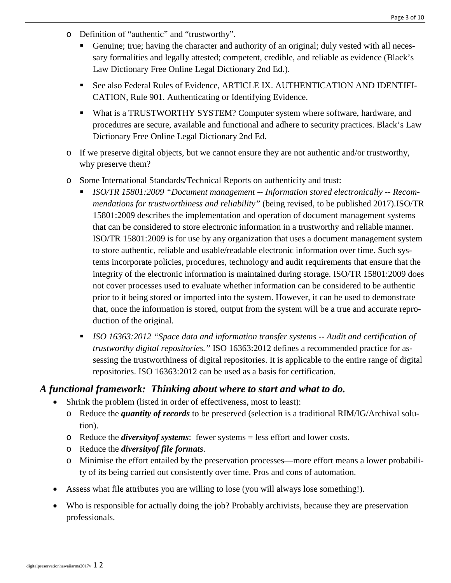- o Definition of "authentic" and "trustworthy".
	- Genuine; true; having the character and authority of an original; duly vested with all necessary formalities and legally attested; competent, credible, and reliable as evidence (Black's Law Dictionary Free Online Legal Dictionary 2nd Ed.).
	- See also Federal Rules of Evidence, ARTICLE IX. AUTHENTICATION AND IDENTIFI-CATION, Rule 901. Authenticating or Identifying Evidence.
	- What is a TRUSTWORTHY SYSTEM? Computer system where software, hardware, and procedures are secure, available and functional and adhere to security practices. Black's Law Dictionary Free Online Legal Dictionary 2nd Ed.
- o If we preserve digital objects, but we cannot ensure they are not authentic and/or trustworthy, why preserve them?
- o Some International Standards/Technical Reports on authenticity and trust:
	- *ISO/TR 15801:2009 "Document management -- Information stored electronically -- Recommendations for trustworthiness and reliability"* (being revised, to be published 2017).ISO/TR 15801:2009 describes the implementation and operation of document management systems that can be considered to store electronic information in a trustworthy and reliable manner. ISO/TR 15801:2009 is for use by any organization that uses a document management system to store authentic, reliable and usable/readable electronic information over time. Such systems incorporate policies, procedures, technology and audit requirements that ensure that the integrity of the electronic information is maintained during storage. ISO/TR 15801:2009 does not cover processes used to evaluate whether information can be considered to be authentic prior to it being stored or imported into the system. However, it can be used to demonstrate that, once the information is stored, output from the system will be a true and accurate reproduction of the original.
	- *ISO 16363:2012 "Space data and information transfer systems -- Audit and certification of trustworthy digital repositories."* ISO 16363:2012 defines a recommended practice for assessing the trustworthiness of digital repositories. It is applicable to the entire range of digital repositories. ISO 16363:2012 can be used as a basis for certification.

#### *A functional framework: Thinking about where to start and what to do.*

- Shrink the problem (listed in order of effectiveness, most to least):
	- o Reduce the *quantity of records* to be preserved (selection is a traditional RIM/IG/Archival solution).
	- o Reduce the *diversityof systems*: fewer systems = less effort and lower costs.
	- o Reduce the *diversityof file formats*.
	- o Minimise the effort entailed by the preservation processes—more effort means a lower probability of its being carried out consistently over time. Pros and cons of automation.
- Assess what file attributes you are willing to lose (you will always lose something!).
- Who is responsible for actually doing the job? Probably archivists, because they are preservation professionals.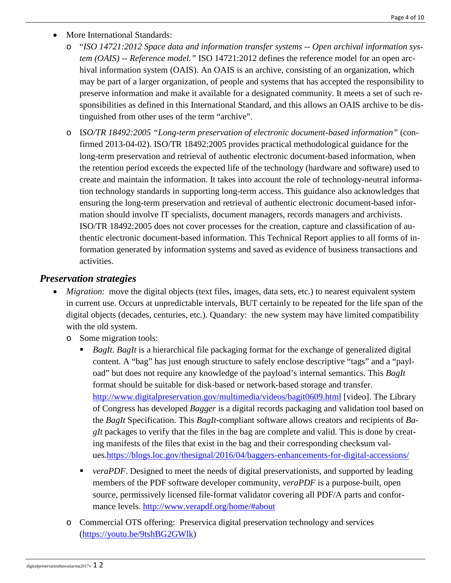- More International Standards:
	- o "*ISO 14721:2012 Space data and information transfer systems -- Open archival information system (OAIS) -- Reference model."* ISO 14721:2012 defines the reference model for an open archival information system (OAIS). An OAIS is an archive, consisting of an organization, which may be part of a larger organization, of people and systems that has accepted the responsibility to preserve information and make it available for a designated community. It meets a set of such responsibilities as defined in this International Standard, and this allows an OAIS archive to be distinguished from other uses of the term "archive".
	- o I*SO/TR 18492:2005 "Long-term preservation of electronic document-based information"* (confirmed 2013-04-02). ISO/TR 18492:2005 provides practical methodological guidance for the long-term preservation and retrieval of authentic electronic document-based information, when the retention period exceeds the expected life of the technology (hardware and software) used to create and maintain the information. It takes into account the role of technology-neutral information technology standards in supporting long-term access. This guidance also acknowledges that ensuring the long-term preservation and retrieval of authentic electronic document-based information should involve IT specialists, document managers, records managers and archivists. ISO/TR 18492:2005 does not cover processes for the creation, capture and classification of authentic electronic document-based information. This Technical Report applies to all forms of information generated by information systems and saved as evidence of business transactions and activities.

#### *Preservation strategies*

- *Migration*: move the digital objects (text files, images, data sets, etc.) to nearest equivalent system in current use. Occurs at unpredictable intervals, BUT certainly to be repeated for the life span of the digital objects (decades, centuries, etc.). Quandary: the new system may have limited compatibility with the old system.
	- o Some migration tools:
		- *BagIt*. *BagIt* is a hierarchical file packaging format for the exchange of generalized digital content. A "bag" has just enough structure to safely enclose descriptive "tags" and a "payload" but does not require any knowledge of the payload's internal semantics. This *BagIt* format should be suitable for disk-based or network-based storage and transfer. <http://www.digitalpreservation.gov/multimedia/videos/bagit0609.html> [video]. The Library of Congress has developed *Bagger* is a digital records packaging and validation tool based on the *BagIt* Specification. This *BagIt*-compliant software allows creators and recipients of *BagIt* packages to verify that the files in the bag are complete and valid. This is done by creating manifests of the files that exist in the bag and their corresponding checksum values[.https://blogs.loc.gov/thesignal/2016/04/baggers-enhancements-for-digital-accessions/](https://blogs.loc.gov/thesignal/2016/04/baggers-enhancements-for-digital-accessions/)
		- **•** *veraPDF*. Designed to meet the needs of digital preservationists, and supported by leading members of the PDF software developer community, *veraPDF* is a purpose-built, open source, permissively licensed file-format validator covering all PDF/A parts and conformance levels.<http://www.verapdf.org/home/#about>
	- o Commercial OTS offering: Preservica digital preservation technology and services [\(https://youtu.be/9tshBG2GWlk\)](https://youtu.be/9tshBG2GWlk)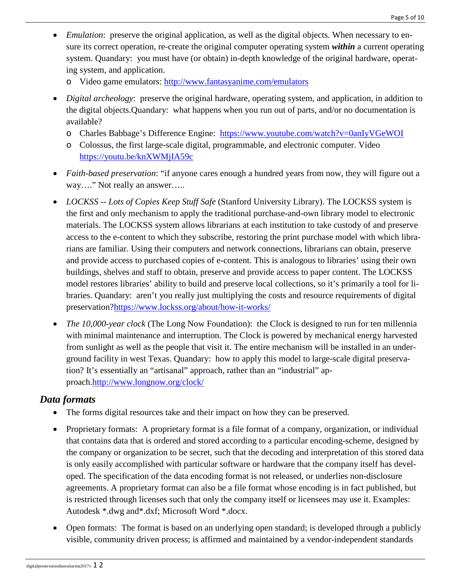- *Emulation*: preserve the original application, as well as the digital objects. When necessary to ensure its correct operation, re-create the original computer operating system *within* a current operating system. Quandary: you must have (or obtain) in-depth knowledge of the original hardware, operating system, and application.
	- o Video game emulators:<http://www.fantasyanime.com/emulators>
- *Digital archeology*: preserve the original hardware, operating system, and application, in addition to the digital objects.Quandary: what happens when you run out of parts, and/or no documentation is available?
	- o Charles Babbage's Difference Engine: <https://www.youtube.com/watch?v=0anIyVGeWOI>
	- o Colossus, the first large-scale digital, programmable, and electronic computer. Video <https://youtu.be/knXWMjIA59c>
- *Faith-based preservation*: "if anyone cares enough a hundred years from now, they will figure out a way…." Not really an answer…..
- *LOCKSS -- Lots of Copies Keep Stuff Safe* (Stanford University Library). The LOCKSS system is the first and only mechanism to apply the traditional purchase-and-own library model to electronic materials. The LOCKSS system allows librarians at each institution to take custody of and preserve access to the e-content to which they subscribe, restoring the print purchase model with which librarians are familiar. Using their computers and network connections, librarians can obtain, preserve and provide access to purchased copies of e-content. This is analogous to libraries' using their own buildings, shelves and staff to obtain, preserve and provide access to paper content. The LOCKSS model restores libraries' ability to build and preserve local collections, so it's primarily a tool for libraries. Quandary: aren't you really just multiplying the costs and resource requirements of digital preservation[?https://www.lockss.org/about/how-it-works/](https://www.lockss.org/about/how-it-works/)
- *The 10,000-year clock* (The Long Now Foundation): the Clock is designed to run for ten millennia with minimal maintenance and interruption. The Clock is powered by mechanical energy harvested from sunlight as well as the people that visit it. The entire mechanism will be installed in an underground facility in west Texas. Quandary: how to apply this model to large-scale digital preservation? It's essentially an "artisanal" approach, rather than an "industrial" approach[.http://www.longnow.org/clock/](http://www.longnow.org/clock/)

#### *Data formats*

- The forms digital resources take and their impact on how they can be preserved.
- Proprietary formats: A proprietary format is a file format of a company, organization, or individual that contains data that is ordered and stored according to a particular encoding-scheme, designed by the company or organization to be secret, such that the decoding and interpretation of this stored data is only easily accomplished with particular software or hardware that the company itself has developed. The specification of the data encoding format is not released, or underlies non-disclosure agreements. A proprietary format can also be a file format whose encoding is in fact published, but is restricted through licenses such that only the company itself or licensees may use it. Examples: Autodesk \*.dwg and\*.dxf; Microsoft Word \*.docx.
- Open formats: The format is based on an underlying open standard; is developed through a publicly visible, community driven process; is affirmed and maintained by a vendor-independent standards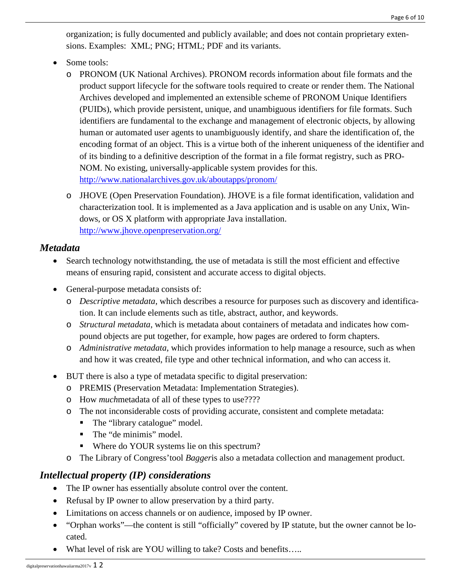organization; is fully documented and publicly available; and does not contain proprietary extensions. Examples: XML; PNG; HTML; PDF and its variants.

- Some tools:
	- o PRONOM (UK National Archives). PRONOM records information about file formats and the product support lifecycle for the software tools required to create or render them. The National Archives developed and implemented an extensible scheme of PRONOM Unique Identifiers (PUIDs), which provide persistent, unique, and unambiguous identifiers for file formats. Such identifiers are fundamental to the exchange and management of electronic objects, by allowing human or automated user agents to unambiguously identify, and share the identification of, the encoding format of an object. This is a virtue both of the inherent uniqueness of the identifier and of its binding to a definitive description of the format in a file format registry, such as PRO-NOM. No existing, universally-applicable system provides for this. <http://www.nationalarchives.gov.uk/aboutapps/pronom/>
	- o JHOVE (Open Preservation Foundation). JHOVE is a file format identification, validation and characterization tool. It is implemented as a Java application and is usable on any Unix, Windows, or OS X platform with appropriate Java installation. <http://www.jhove.openpreservation.org/>

### *Metadata*

- Search technology notwithstanding, the use of metadata is still the most efficient and effective means of ensuring rapid, consistent and accurate access to digital objects.
- General-purpose metadata consists of:
	- o *Descriptive metadata*, which describes a resource for purposes such as discovery and identification. It can include elements such as title, abstract, author, and keywords.
	- o *Structural metadata*, which is metadata about containers of metadata and indicates how compound objects are put together, for example, how pages are ordered to form chapters.
	- o *Administrative metadata*, which provides information to help manage a resource, such as when and how it was created, file type and other technical information, and who can access it.
- BUT there is also a type of metadata specific to digital preservation:
	- o PREMIS (Preservation Metadata: Implementation Strategies).
	- o How *much*metadata of all of these types to use????
	- o The not inconsiderable costs of providing accurate, consistent and complete metadata:
		- The "library catalogue" model.
		- The "de minimis" model.
		- Where do YOUR systems lie on this spectrum?
	- o The Library of Congress'tool *Bagger*is also a metadata collection and management product.

### *Intellectual property (IP) considerations*

- The IP owner has essentially absolute control over the content.
- Refusal by IP owner to allow preservation by a third party.
- Limitations on access channels or on audience, imposed by IP owner.
- "Orphan works"—the content is still "officially" covered by IP statute, but the owner cannot be located.
- What level of risk are YOU willing to take? Costs and benefits.....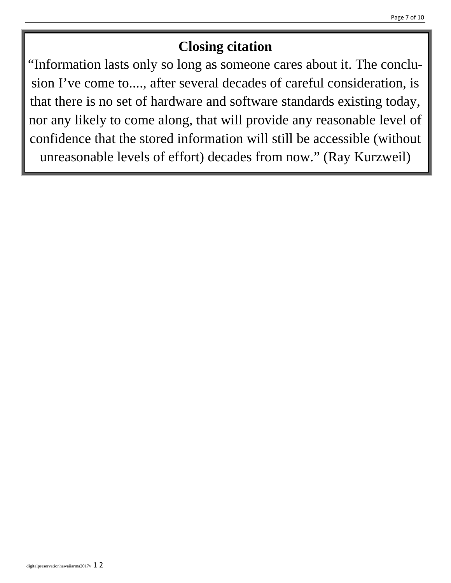# **Closing citation**

"Information lasts only so long as someone cares about it. The conclusion I've come to...., after several decades of careful consideration, is that there is no set of hardware and software standards existing today, nor any likely to come along, that will provide any reasonable level of confidence that the stored information will still be accessible (without unreasonable levels of effort) decades from now." (Ray Kurzweil)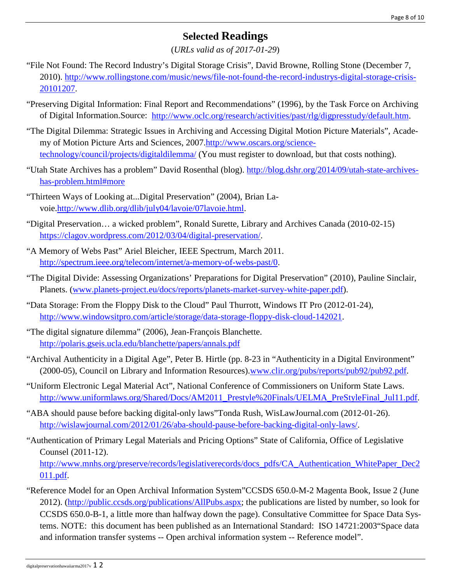## **Selected Readings**

(*URLs valid as of 2017-01-29*)

- "File Not Found: The Record Industry's Digital Storage Crisis", David Browne, Rolling Stone (December 7, 2010). [http://www.rollingstone.com/music/news/file-not-found-the-record-industrys-digital-storage-crisis-](http://www.rollingstone.com/music/news/file-not-found-the-record-industrys-digital-storage-crisis-20101207)[20101207.](http://www.rollingstone.com/music/news/file-not-found-the-record-industrys-digital-storage-crisis-20101207)
- ["Preserving Digital Information: Final Report and Recommendations"](http://www.oclc.org/research/activities/past/rlg/digpresstudy/final-report.pdf) (1996), by the Task Force on Archiving of Digital Information.Source: [http://www.oclc.org/research/activities/past/rlg/digpresstudy/default.htm.](http://www.oclc.org/research/activities/past/rlg/digpresstudy/default.htm)
- "The Digital Dilemma: Strategic Issues in Archiving and Accessing Digital Motion Picture Materials", Academy of Motion Picture Arts and Sciences, 2007[.http://www.oscars.org/science](http://www.oscars.org/science-technology/council/projects/digitaldilemma/)[technology/council/projects/digitaldilemma/](http://www.oscars.org/science-technology/council/projects/digitaldilemma/) (You must register to download, but that costs nothing).
- "Utah State Archives has a problem" David Rosenthal (blog). [http://blog.dshr.org/2014/09/utah-state-archives](http://blog.dshr.org/2014/09/utah-state-archives-has-problem.html#more)[has-problem.html#more](http://blog.dshr.org/2014/09/utah-state-archives-has-problem.html#more)
- "Thirteen Ways of Looking at...Digital Preservation" (2004), Brian Lavoie[.http://www.dlib.org/dlib/july04/lavoie/07lavoie.html.](http://www.dlib.org/dlib/july04/lavoie/07lavoie.html)
- "Digital Preservation… a wicked problem", Ronald Surette, Library and Archives Canada (2010-02-15) [https://clagov.wordpress.com/2012/03/04/digital-preservation/.](https://clagov.wordpress.com/2012/03/04/digital-preservation/)
- "A Memory of Webs Past" Ariel Bleicher, IEEE Spectrum, March 2011. [http://spectrum.ieee.org/telecom/internet/a-memory-of-webs-past/0.](http://spectrum.ieee.org/telecom/internet/a-memory-of-webs-past/0)
- "The Digital Divide: Assessing Organizations' Preparations for Digital Preservation" (2010), Pauline Sinclair, Planets. [\(www.planets-project.eu/docs/reports/planets-market-survey-white-paper.pdf\)](http://www.planets-project.eu/docs/reports/planets-market-survey-white-paper.pdf).
- "Data Storage: From the Floppy Disk to the Cloud" Paul Thurrott, Windows IT Pro (2012-01-24), [http://www.windowsitpro.com/article/storage/data-storage-floppy-disk-cloud-142021.](http://www.windowsitpro.com/article/storage/data-storage-floppy-disk-cloud-142021)
- "The digital signature dilemma" (2006), Jean-François Blanchette. <http://polaris.gseis.ucla.edu/blanchette/papers/annals.pdf>
- "Archival Authenticity in a Digital Age", Peter B. Hirtle (pp. 8-23 in "Authenticity in a Digital Environment" (2000-05), Council on Library and Information Resources)[.www.clir.org/pubs/reports/pub92/pub92.pdf.](http://www.clir.org/pubs/reports/pub92/pub92.pdf)
- "Uniform Electronic Legal Material Act", National Conference of Commissioners on Uniform State Laws. [http://www.uniformlaws.org/Shared/Docs/AM2011\\_Prestyle%20Finals/UELMA\\_PreStyleFinal\\_Jul11.pdf.](http://www.uniformlaws.org/Shared/Docs/AM2011_Prestyle%20Finals/UELMA_PreStyleFinal_Jul11.pdf)
- "ABA should pause before backing digital-only laws"Tonda Rush, WisLawJournal.com (2012-01-26). [http://wislawjournal.com/2012/01/26/aba-should-pause-before-backing-digital-only-laws/.](http://wislawjournal.com/2012/01/26/aba-should-pause-before-backing-digital-only-laws/)
- "Authentication of Primary Legal Materials and Pricing Options" State of California, Office of Legislative Counsel (2011-12).

[http://www.mnhs.org/preserve/records/legislativerecords/docs\\_pdfs/CA\\_Authentication\\_WhitePaper\\_Dec2](http://www.mnhs.org/preserve/records/legislativerecords/docs_pdfs/CA_Authentication_WhitePaper_Dec2011.pdf) [011.pdf.](http://www.mnhs.org/preserve/records/legislativerecords/docs_pdfs/CA_Authentication_WhitePaper_Dec2011.pdf)

"Reference Model for an Open Archival Information System"CCSDS 650.0-M-2 Magenta Book, Issue 2 (June 2012). [\(http://public.ccsds.org/publications/AllPubs.aspx;](http://public.ccsds.org/publications/AllPubs.aspx) the publications are listed by number, so look for CCSDS 650.0-B-1, a little more than halfway down the page). Consultative Committee for Space Data Systems. NOTE: this document has been published as an International Standard: ISO 14721:2003"Space data and information transfer systems -- Open archival information system -- Reference model".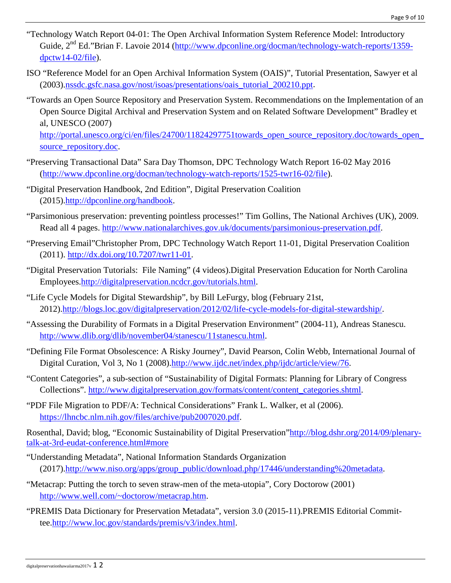- "Technology Watch Report 04-01: The Open Archival Information System Reference Model: Introductory Guide, 2<sup>nd</sup> Ed."Brian F. Lavoie 2014 [\(http://www.dpconline.org/docman/technology-watch-reports/1359](http://www.dpconline.org/docman/technology-watch-reports/1359-dpctw14-02/file) [dpctw14-02/file\)](http://www.dpconline.org/docman/technology-watch-reports/1359-dpctw14-02/file).
- ISO "Reference Model for an Open Archival Information System (OAIS)", Tutorial Presentation, Sawyer et al (2003).nssdc.gsfc.nasa.gov/nost/isoas/presentations/oais\_tutorial\_200210.ppt.
- "Towards an Open Source Repository and Preservation System. Recommendations on the Implementation of an Open Source Digital Archival and Preservation System and on Related Software Development" Bradley et al, UNESCO (2007)

[http://portal.unesco.org/ci/en/files/24700/11824297751towards\\_open\\_source\\_repository.doc/towards\\_open\\_](http://portal.unesco.org/ci/en/files/24700/11824297751towards_open_source_repository.doc/towards_open_source_repository.doc) source repository.doc.

- "Preserving Transactional Data" Sara Day Thomson, DPC Technology Watch Report 16-02 May 2016 [\(http://www.dpconline.org/docman/technology-watch-reports/1525-twr16-02/file\)](http://www.dpconline.org/docman/technology-watch-reports/1525-twr16-02/file).
- "Digital Preservation Handbook, 2nd Edition", Digital Preservation Coalition (2015)[.http://dpconline.org/handbook.](http://dpconline.org/handbook)
- "Parsimonious preservation: preventing pointless processes!" Tim Gollins, The National Archives (UK), 2009. Read all 4 pages. [http://www.nationalarchives.gov.uk/documents/parsimonious-preservation.pdf.](http://www.nationalarchives.gov.uk/documents/parsimonious-preservation.pdf)
- "Preserving Email"Christopher Prom, DPC Technology Watch Report 11-01, Digital Preservation Coalition (2011). [http://dx.doi.org/10.7207/twr11-01.](http://dx.doi.org/10.7207/twr11-01)
- "Digital Preservation Tutorials: File Naming" (4 videos).Digital Preservation Education for North Carolina Employees[.http://digitalpreservation.ncdcr.gov/tutorials.html.](http://digitalpreservation.ncdcr.gov/tutorials.html)
- "Life Cycle Models for Digital Stewardship", by Bill LeFurgy, blog (February 21st, 2012)[.http://blogs.loc.gov/digitalpreservation/2012/02/life-cycle-models-for-digital-stewardship/.](http://blogs.loc.gov/digitalpreservation/2012/02/life-cycle-models-for-digital-stewardship/)
- "Assessing the Durability of Formats in a Digital Preservation Environment" (2004-11), Andreas Stanescu. [http://www.dlib.org/dlib/november04/stanescu/11stanescu.html.](http://www.dlib.org/dlib/november04/stanescu/11stanescu.html)
- "Defining File Format Obsolescence: A Risky Journey", David Pearson, Colin Webb, International Journal of Digital Curation, Vol 3, No 1 (2008)[.http://www.ijdc.net/index.php/ijdc/article/view/76.](http://www.ijdc.net/index.php/ijdc/article/view/76)
- "Content Categories", a sub-section of "Sustainability of Digital Formats: Planning for Library of Congress Collections". [http://www.digitalpreservation.gov/formats/content/content\\_categories.shtml.](http://www.digitalpreservation.gov/formats/content/content_categories.shtml)
- "PDF File Migration to PDF/A: Technical Considerations" Frank L. Walker, et al (2006). [https://lhncbc.nlm.nih.gov/files/archive/pub2007020.pdf.](https://lhncbc.nlm.nih.gov/files/archive/pub2007020.pdf)

Rosenthal, David; blog, "Economic Sustainability of Digital Preservation["http://blog.dshr.org/2014/09/plenary](http://blog.dshr.org/2014/09/plenary-talk-at-3rd-eudat-conference.html#more)[talk-at-3rd-eudat-conference.html#more](http://blog.dshr.org/2014/09/plenary-talk-at-3rd-eudat-conference.html#more)

- "Understanding Metadata", National Information Standards Organization (2017)[.http://www.niso.org/apps/group\\_public/download.php/17446/understanding%20metadata.](http://www.niso.org/apps/group_public/download.php/17446/understanding%20metadata)
- "Metacrap: Putting the torch to seven straw-men of the meta-utopia", Cory Doctorow (2001) [http://www.well.com/~doctorow/metacrap.htm.](http://www.well.com/%7Edoctorow/metacrap.htm)
- "PREMIS Data Dictionary for Preservation Metadata", version 3.0 (2015-11).PREMIS Editorial Committee[.http://www.loc.gov/standards/premis/v3/index.html.](http://www.loc.gov/standards/premis/v3/index.html)